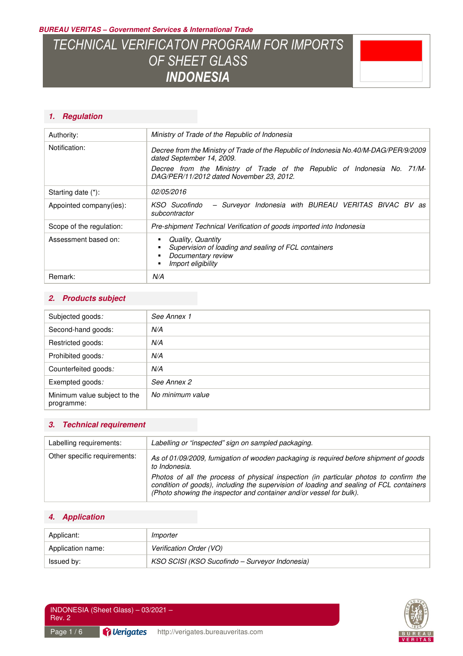*BUREAU VERITAS – Government Services & International Trade* 

# *TECHNICAL VERIFICATON PROGRAM FOR IMPORTS OF SHEET GLASS INDONESIA*



## *1. Regulation*

| Authority:               | Ministry of Trade of the Republic of Indonesia                                                                        |
|--------------------------|-----------------------------------------------------------------------------------------------------------------------|
| Notification:            | Decree from the Ministry of Trade of the Republic of Indonesia No.40/M-DAG/PER/9/2009<br>dated September 14, 2009.    |
|                          | Decree from the Ministry of Trade of the Republic of Indonesia No. 71/M-<br>DAG/PER/11/2012 dated November 23, 2012.  |
| Starting date (*):       | 02/05/2016                                                                                                            |
| Appointed company(ies):  | - Surveyor Indonesia with BUREAU VERITAS BIVAC BV as<br>KSO Sucofindo<br>subcontractor                                |
| Scope of the regulation: | Pre-shipment Technical Verification of goods imported into Indonesia                                                  |
| Assessment based on:     | Quality, Quantity<br>Supervision of loading and sealing of FCL containers<br>Documentary review<br>Import eligibility |
| Remark:                  | N/A                                                                                                                   |

### *2. Products subject*

| Subjected goods:                           | See Annex 1      |
|--------------------------------------------|------------------|
| Second-hand goods:                         | N/A              |
| Restricted goods:                          | N/A              |
| Prohibited goods:                          | N/A              |
| Counterfeited goods:                       | N/A              |
| Exempted goods:                            | See Annex 2      |
| Minimum value subject to the<br>programme: | No minimum value |

### *3. Technical requirement*

| Labelling requirements:      | Labelling or "inspected" sign on sampled packaging.                                                                                                                                             |
|------------------------------|-------------------------------------------------------------------------------------------------------------------------------------------------------------------------------------------------|
| Other specific requirements: | As of 01/09/2009, fumigation of wooden packaging is required before shipment of goods<br>to Indonesia.<br>Photos of all the process of physical inspection (in particular photos to confirm the |
|                              | condition of goods), including the supervision of loading and sealing of FCL containers<br>(Photo showing the inspector and container and/or vessel for bulk).                                  |

## *4. Application*

| Applicant:        | Importer                                       |
|-------------------|------------------------------------------------|
| Application name: | Verification Order (VO)                        |
| Issued by:        | KSO SCISI (KSO Sucofindo – Surveyor Indonesia) |

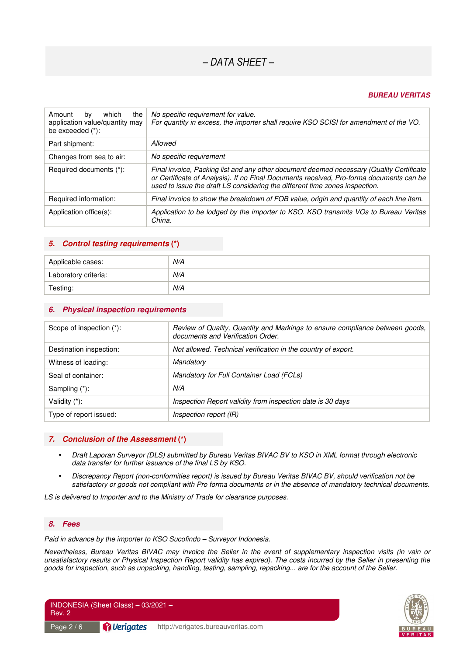#### *BUREAU VERITAS*

| which<br>the<br>Amount<br>by<br>application value/quantity may<br>be exceeded $(*)$ : | No specific requirement for value.<br>For quantity in excess, the importer shall require KSO SCISI for amendment of the VO.                                                                                                                                        |
|---------------------------------------------------------------------------------------|--------------------------------------------------------------------------------------------------------------------------------------------------------------------------------------------------------------------------------------------------------------------|
| Part shipment:                                                                        | Allowed                                                                                                                                                                                                                                                            |
| Changes from sea to air:                                                              | No specific requirement                                                                                                                                                                                                                                            |
| Required documents (*):                                                               | Final invoice, Packing list and any other document deemed necessary (Quality Certificate<br>or Certificate of Analysis). If no Final Documents received, Pro-forma documents can be<br>used to issue the draft LS considering the different time zones inspection. |
| Required information:                                                                 | Final invoice to show the breakdown of FOB value, origin and quantity of each line item.                                                                                                                                                                           |
| Application office(s):                                                                | Application to be lodged by the importer to KSO. KSO transmits VOs to Bureau Veritas<br>China.                                                                                                                                                                     |

#### *5. Control testing requirements* **(\*)**

| Applicable cases:    | N/A |
|----------------------|-----|
| Laboratory criteria: | N/A |
| Testing:             | N/A |

#### *6. Physical inspection requirements*

| Scope of inspection (*): | Review of Quality, Quantity and Markings to ensure compliance between goods,<br>documents and Verification Order. |
|--------------------------|-------------------------------------------------------------------------------------------------------------------|
| Destination inspection:  | Not allowed. Technical verification in the country of export.                                                     |
| Witness of loading:      | Mandatory                                                                                                         |
| Seal of container:       | Mandatory for Full Container Load (FCLs)                                                                          |
| Sampling (*):            | N/A                                                                                                               |
| Validity (*):            | Inspection Report validity from inspection date is 30 days                                                        |
| Type of report issued:   | Inspection report (IR)                                                                                            |

#### *7. Conclusion of the Assessment* **(\*)**

- *Draft Laporan Surveyor (DLS) submitted by Bureau Veritas BIVAC BV to KSO in XML format through electronic data transfer for further issuance of the final LS by KSO.*
- *Discrepancy Report (non-conformities report) is issued by Bureau Veritas BIVAC BV, should verification not be satisfactory or goods not compliant with Pro forma documents or in the absence of mandatory technical documents.*

*LS is delivered to Importer and to the Ministry of Trade for clearance purposes.* 

#### *8. Fees*

*Paid in advance by the importer to KSO Sucofindo – Surveyor Indonesia.* 

*Nevertheless, Bureau Veritas BIVAC may invoice the Seller in the event of supplementary inspection visits (in vain or unsatisfactory results or Physical Inspection Report validity has expired). The costs incurred by the Seller in presenting the goods for inspection, such as unpacking, handling, testing, sampling, repacking... are for the account of the Seller.* 

INDONESIA (Sheet Glass) – 03/2021 – Rev. 2 Page 2 / 6 **Pullerigates** http://verigates.bureauveritas.com

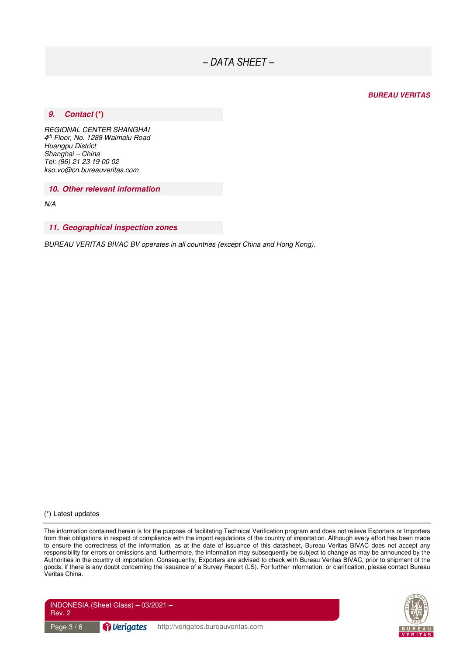#### *BUREAU VERITAS*

#### *9. Contact* **(\*)**

*REGIONAL CENTER SHANGHAI 4 th Floor, No. 1288 Waimalu Road Huangpu District Shanghai – China Tel: (86) 21 23 19 00 02 kso.vo@cn.bureauveritas.com* 

*10. Other relevant information* 

*N/A* 

#### *11. Geographical inspection zones*

*BUREAU VERITAS BIVAC BV operates in all countries (except China and Hong Kong).* 

(\*) Latest updates

The information contained herein is for the purpose of facilitating Technical Verification program and does not relieve Exporters or Importers from their obligations in respect of compliance with the import regulations of the country of importation. Although every effort has been made to ensure the correctness of the information, as at the date of issuance of this datasheet, Bureau Veritas BIVAC does not accept any responsibility for errors or omissions and, furthermore, the information may subsequently be subject to change as may be announced by the Authorities in the country of importation. Consequently, Exporters are advised to check with Bureau Veritas BIVAC, prior to shipment of the goods, if there is any doubt concerning the issuance of a Survey Report (LS). For further information, or clarification, please contact Bureau Veritas China.



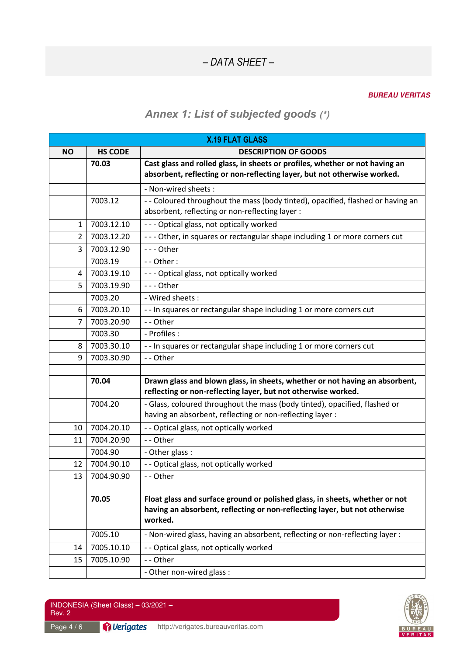#### *BUREAU VERITAS*

## *Annex 1: List of subjected goods (\*)*

| <b>X.19 FLAT GLASS</b> |                |                                                                                                                                                                      |
|------------------------|----------------|----------------------------------------------------------------------------------------------------------------------------------------------------------------------|
| <b>NO</b>              | <b>HS CODE</b> | <b>DESCRIPTION OF GOODS</b>                                                                                                                                          |
|                        | 70.03          | Cast glass and rolled glass, in sheets or profiles, whether or not having an<br>absorbent, reflecting or non-reflecting layer, but not otherwise worked.             |
|                        |                | - Non-wired sheets :                                                                                                                                                 |
|                        | 7003.12        | -- Coloured throughout the mass (body tinted), opacified, flashed or having an<br>absorbent, reflecting or non-reflecting layer :                                    |
| $\mathbf{1}$           | 7003.12.10     | --- Optical glass, not optically worked                                                                                                                              |
| $\overline{2}$         | 7003.12.20     | --- Other, in squares or rectangular shape including 1 or more corners cut                                                                                           |
| 3                      | 7003.12.90     | --- Other                                                                                                                                                            |
|                        | 7003.19        | - - Other:                                                                                                                                                           |
| 4                      | 7003.19.10     | --- Optical glass, not optically worked                                                                                                                              |
| 5                      | 7003.19.90     | --- Other                                                                                                                                                            |
|                        | 7003.20        | - Wired sheets:                                                                                                                                                      |
| 6                      | 7003.20.10     | - - In squares or rectangular shape including 1 or more corners cut                                                                                                  |
| 7                      | 7003.20.90     | -- Other                                                                                                                                                             |
|                        | 7003.30        | - Profiles :                                                                                                                                                         |
| 8                      | 7003.30.10     | - - In squares or rectangular shape including 1 or more corners cut                                                                                                  |
| 9                      | 7003.30.90     | -- Other                                                                                                                                                             |
|                        |                |                                                                                                                                                                      |
|                        | 70.04          | Drawn glass and blown glass, in sheets, whether or not having an absorbent,<br>reflecting or non-reflecting layer, but not otherwise worked.                         |
|                        | 7004.20        | - Glass, coloured throughout the mass (body tinted), opacified, flashed or<br>having an absorbent, reflecting or non-reflecting layer :                              |
| 10                     | 7004.20.10     | - - Optical glass, not optically worked                                                                                                                              |
| 11                     | 7004.20.90     | -- Other                                                                                                                                                             |
|                        | 7004.90        | - Other glass :                                                                                                                                                      |
| 12                     | 7004.90.10     | - - Optical glass, not optically worked                                                                                                                              |
| 13                     | 7004.90.90     | -- Other                                                                                                                                                             |
|                        |                |                                                                                                                                                                      |
|                        | 70.05          | Float glass and surface ground or polished glass, in sheets, whether or not<br>having an absorbent, reflecting or non-reflecting layer, but not otherwise<br>worked. |
|                        | 7005.10        | - Non-wired glass, having an absorbent, reflecting or non-reflecting layer:                                                                                          |
| 14                     | 7005.10.10     | -- Optical glass, not optically worked                                                                                                                               |
| 15                     | 7005.10.90     | -- Other                                                                                                                                                             |
|                        |                | - Other non-wired glass :                                                                                                                                            |

INDONESIA (Sheet Glass) – 03/2021 – Rev. 2

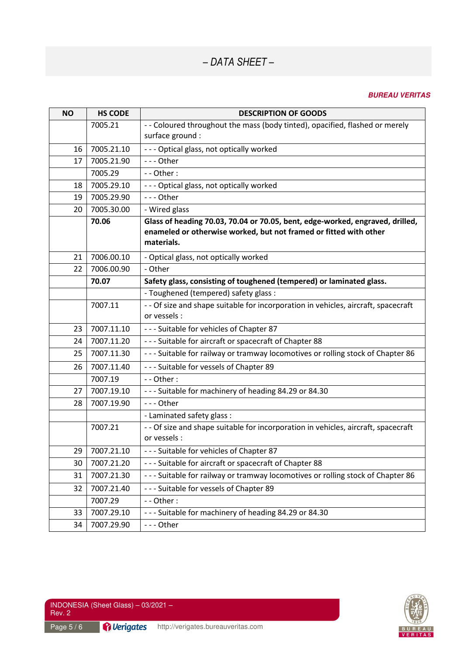#### *BUREAU VERITAS*

| <b>NO</b> | <b>HS CODE</b> | <b>DESCRIPTION OF GOODS</b>                                                        |
|-----------|----------------|------------------------------------------------------------------------------------|
|           | 7005.21        | - - Coloured throughout the mass (body tinted), opacified, flashed or merely       |
|           |                | surface ground :                                                                   |
| 16        | 7005.21.10     | --- Optical glass, not optically worked                                            |
| 17        | 7005.21.90     | --- Other                                                                          |
|           | 7005.29        | - - Other:                                                                         |
| 18        | 7005.29.10     | --- Optical glass, not optically worked                                            |
| 19        | 7005.29.90     | --- Other                                                                          |
| 20        | 7005.30.00     | - Wired glass                                                                      |
|           | 70.06          | Glass of heading 70.03, 70.04 or 70.05, bent, edge-worked, engraved, drilled,      |
|           |                | enameled or otherwise worked, but not framed or fitted with other                  |
|           |                | materials.                                                                         |
| 21        | 7006.00.10     | - Optical glass, not optically worked                                              |
| 22        | 7006.00.90     | - Other                                                                            |
|           | 70.07          | Safety glass, consisting of toughened (tempered) or laminated glass.               |
|           |                | - Toughened (tempered) safety glass :                                              |
|           | 7007.11        | - - Of size and shape suitable for incorporation in vehicles, aircraft, spacecraft |
|           |                | or vessels :                                                                       |
| 23        | 7007.11.10     | --- Suitable for vehicles of Chapter 87                                            |
| 24        | 7007.11.20     | --- Suitable for aircraft or spacecraft of Chapter 88                              |
| 25        | 7007.11.30     | --- Suitable for railway or tramway locomotives or rolling stock of Chapter 86     |
| 26        | 7007.11.40     | --- Suitable for vessels of Chapter 89                                             |
|           | 7007.19        | - - Other:                                                                         |
| 27        | 7007.19.10     | --- Suitable for machinery of heading 84.29 or 84.30                               |
| 28        | 7007.19.90     | --- Other                                                                          |
|           |                | - Laminated safety glass :                                                         |
|           | 7007.21        | - - Of size and shape suitable for incorporation in vehicles, aircraft, spacecraft |
|           |                | or vessels :                                                                       |
| 29        | 7007.21.10     | --- Suitable for vehicles of Chapter 87                                            |
| 30        | 7007.21.20     | --- Suitable for aircraft or spacecraft of Chapter 88                              |
| 31        | 7007.21.30     | --- Suitable for railway or tramway locomotives or rolling stock of Chapter 86     |
| 32        | 7007.21.40     | --- Suitable for vessels of Chapter 89                                             |
|           | 7007.29        | - - Other:                                                                         |
| 33        | 7007.29.10     | --- Suitable for machinery of heading 84.29 or 84.30                               |
| 34        | 7007.29.90     | --- Other                                                                          |

INDONESIA (Sheet Glass) – 03/2021 – Rev. 2

Page 5 / 6 **Page 1 8 http://verigates.bureauveritas.com**